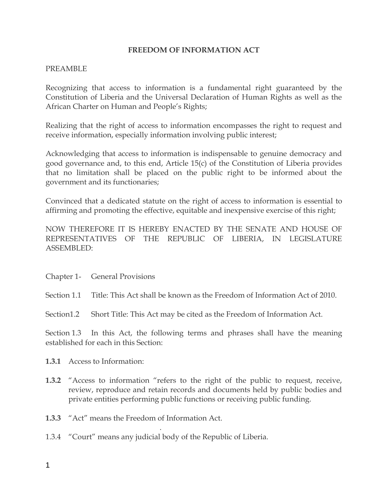#### **FREEDOM OF INFORMATION ACT**

#### PREAMBLE

Recognizing that access to information is a fundamental right guaranteed by the Constitution of Liberia and the Universal Declaration of Human Rights as well as the African Charter on Human and People's Rights;

Realizing that the right of access to information encompasses the right to request and receive information, especially information involving public interest;

Acknowledging that access to information is indispensable to genuine democracy and good governance and, to this end, Article 15(c) of the Constitution of Liberia provides that no limitation shall be placed on the public right to be informed about the government and its functionaries;

Convinced that a dedicated statute on the right of access to information is essential to affirming and promoting the effective, equitable and inexpensive exercise of this right;

NOW THEREFORE IT IS HEREBY ENACTED BY THE SENATE AND HOUSE OF REPRESENTATIVES OF THE REPUBLIC OF LIBERIA, IN LEGISLATURE ASSEMBLED:

- Chapter 1- General Provisions
- Section 1.1 Title: This Act shall be known as the Freedom of Information Act of 2010.
- Section1.2 Short Title: This Act may be cited as the Freedom of Information Act.

Section 1.3 In this Act, the following terms and phrases shall have the meaning established for each in this Section:

- **1.3.1** Access to Information:
- **1.3.2** "Access to information "refers to the right of the public to request, receive, review, reproduce and retain records and documents held by public bodies and private entities performing public functions or receiving public funding.
- **1.3.3** "Act" means the Freedom of Information Act.
- 1.3.4 "Court" means any judicial body of the Republic of Liberia.

.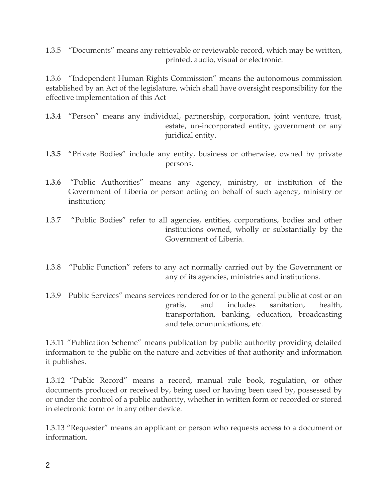1.3.5 "Documents" means any retrievable or reviewable record, which may be written, printed, audio, visual or electronic.

1.3.6 "Independent Human Rights Commission" means the autonomous commission established by an Act of the legislature, which shall have oversight responsibility for the effective implementation of this Act

- **1.3.4** "Person" means any individual, partnership, corporation, joint venture, trust, estate, un-incorporated entity, government or any juridical entity.
- **1.3.5** "Private Bodies" include any entity, business or otherwise, owned by private persons.
- **1.3.6** "Public Authorities" means any agency, ministry, or institution of the Government of Liberia or person acting on behalf of such agency, ministry or institution;
- 1.3.7 "Public Bodies" refer to all agencies, entities, corporations, bodies and other institutions owned, wholly or substantially by the Government of Liberia.
- 1.3.8 "Public Function" refers to any act normally carried out by the Government or any of its agencies, ministries and institutions.
- 1.3.9 Public Services" means services rendered for or to the general public at cost or on gratis, and includes sanitation, health, transportation, banking, education, broadcasting and telecommunications, etc.

1.3.11 "Publication Scheme" means publication by public authority providing detailed information to the public on the nature and activities of that authority and information it publishes.

1.3.12 "Public Record" means a record, manual rule book, regulation, or other documents produced or received by, being used or having been used by, possessed by or under the control of a public authority, whether in written form or recorded or stored in electronic form or in any other device.

1.3.13 "Requester" means an applicant or person who requests access to a document or information.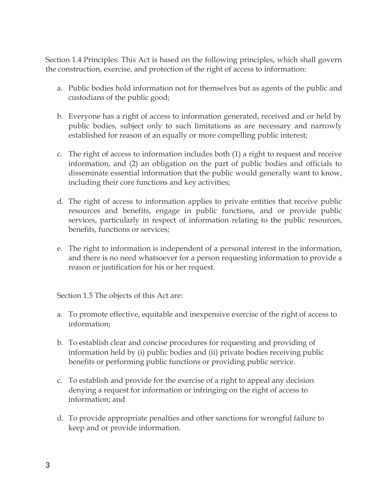Section 1.4 Principles: This Act is based on the following principles, which shall govern the construction, exercise, and protection of the right of access to information:

- a. Public bodies hold information not for themselves but as agents of the public and custodians of the public good;
- b. Everyone has a right of access to information generated, received and or held by public bodies, subject only to such limitations as are necessary and narrowly established for reason of an equally or more compelling public interest;
- c. The right of access to information includes both (1) a right to request and receive information, and (2) an obligation on the part of public bodies and officials to disseminate essential information that the public would generally want to know, including their core functions and key activities;
- d. The right of access to information applies to private entities that receive public resources and benefits, engage in public functions, and or provide public services, particularly in respect of information relating to the public resources, benefits, functions or services;
- e. The right to information is independent of a personal interest in the information, and there is no need whatsoever for a person requesting information to provide a reason or justification for his or her request.

Section 1.5 The objects of this Act are:

- a. To promote effective, equitable and inexpensive exercise of the right of access to information;
- b. To establish clear and concise procedures for requesting and providing of information held by (i) public bodies and (ii) private bodies receiving public benefits or performing public functions or providing public service.
- c. To establish and provide for the exercise of a right to appeal any decision denying a request for information or infringing on the right of access to information; and
- d. To provide appropriate penalties and other sanctions for wrongful failure to keep and or provide information.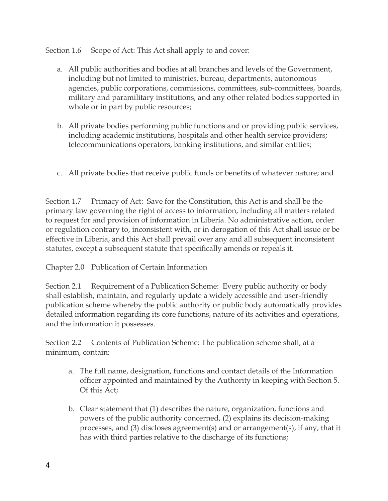Section 1.6 Scope of Act: This Act shall apply to and cover:

- a. All public authorities and bodies at all branches and levels of the Government, including but not limited to ministries, bureau, departments, autonomous agencies, public corporations, commissions, committees, sub-committees, boards, military and paramilitary institutions, and any other related bodies supported in whole or in part by public resources;
- b. All private bodies performing public functions and or providing public services, including academic institutions, hospitals and other health service providers; telecommunications operators, banking institutions, and similar entities;
- c. All private bodies that receive public funds or benefits of whatever nature; and

Section 1.7 Primacy of Act: Save for the Constitution, this Act is and shall be the primary law governing the right of access to information, including all matters related to request for and provision of information in Liberia. No administrative action, order or regulation contrary to, inconsistent with, or in derogation of this Act shall issue or be effective in Liberia, and this Act shall prevail over any and all subsequent inconsistent statutes, except a subsequent statute that specifically amends or repeals it.

# Chapter 2.0 Publication of Certain Information

Section 2.1 Requirement of a Publication Scheme: Every public authority or body shall establish, maintain, and regularly update a widely accessible and user-friendly publication scheme whereby the public authority or public body automatically provides detailed information regarding its core functions, nature of its activities and operations, and the information it possesses.

Section 2.2 Contents of Publication Scheme: The publication scheme shall, at a minimum, contain:

- a. The full name, designation, functions and contact details of the Information officer appointed and maintained by the Authority in keeping with Section 5. Of this Act;
- b. Clear statement that (1) describes the nature, organization, functions and powers of the public authority concerned, (2) explains its decision-making processes, and (3) discloses agreement(s) and or arrangement(s), if any, that it has with third parties relative to the discharge of its functions;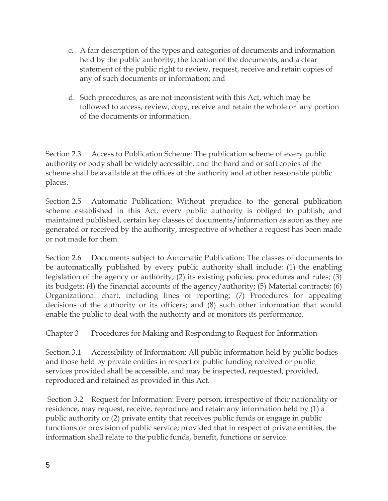- c. A fair description of the types and categories of documents and information held by the public authority, the location of the documents, and a clear statement of the public right to review, request, receive and retain copies of any of such documents or information; and
- d. Such procedures, as are not inconsistent with this Act, which may be followed to access, review, copy, receive and retain the whole or any portion of the documents or information.

Section 2.3 Access to Publication Scheme: The publication scheme of every public authority or body shall be widely accessible, and the hard and or soft copies of the scheme shall be available at the offices of the authority and at other reasonable public places.

Section 2.5 Automatic Publication: Without prejudice to the general publication scheme established in this Act, every public authority is obliged to publish, and maintained published, certain key classes of documents/information as soon as they are generated or received by the authority, irrespective of whether a request has been made or not made for them.

Section 2.6 Documents subject to Automatic Publication: The classes of documents to be automatically published by every public authority shall include: (1) the enabling legislation of the agency or authority; (2) its existing policies, procedures and rules; (3) its budgets; (4) the financial accounts of the agency/authority; (5) Material contracts; (6) Organizational chart, including lines of reporting; (7) Procedures for appealing decisions of the authority or its officers; and (8) such other information that would enable the public to deal with the authority and or monitors its performance.

Chapter 3 Procedures for Making and Responding to Request for Information

Section 3.1 Accessibility of Information: All public information held by public bodies and those held by private entities in respect of public funding received or public services provided shall be accessible, and may be inspected, requested, provided, reproduced and retained as provided in this Act.

Section 3.2 Request for Information: Every person, irrespective of their nationality or residence, may request, receive, reproduce and retain any information held by (1) a public authority or (2) private entity that receives public funds or engage in public functions or provision of public service; provided that in respect of private entities, the information shall relate to the public funds, benefit, functions or service.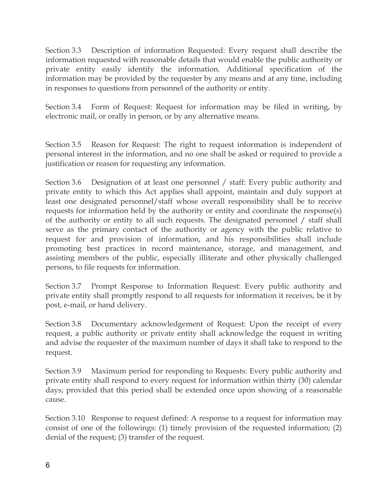Section 3.3 Description of information Requested: Every request shall describe the information requested with reasonable details that would enable the public authority or private entity easily identify the information. Additional specification of the information may be provided by the requester by any means and at any time, including in responses to questions from personnel of the authority or entity.

Section 3.4 Form of Request: Request for information may be filed in writing, by electronic mail, or orally in person, or by any alternative means.

Section 3.5 Reason for Request: The right to request information is independent of personal interest in the information, and no one shall be asked or required to provide a justification or reason for requesting any information.

Section 3.6 Designation of at least one personnel / staff: Every public authority and private entity to which this Act applies shall appoint, maintain and duly support at least one designated personnel/staff whose overall responsibility shall be to receive requests for information held by the authority or entity and coordinate the response(s) of the authority or entity to all such requests. The designated personnel / staff shall serve as the primary contact of the authority or agency with the public relative to request for and provision of information, and his responsibilities shall include promoting best practices in record maintenance, storage, and management, and assisting members of the public, especially illiterate and other physically challenged persons, to file requests for information.

Section 3.7 Prompt Response to Information Request: Every public authority and private entity shall promptly respond to all requests for information it receives, be it by post, e-mail, or hand delivery.

Section 3.8 Documentary acknowledgement of Request: Upon the receipt of every request, a public authority or private entity shall acknowledge the request in writing and advise the requester of the maximum number of days it shall take to respond to the request.

Section 3.9 Maximum period for responding to Requests: Every public authority and private entity shall respond to every request for information within thirty (30) calendar days; provided that this period shall be extended once upon showing of a reasonable cause.

Section 3.10 Response to request defined: A response to a request for information may consist of one of the followings: (1) timely provision of the requested information; (2) denial of the request; (3) transfer of the request.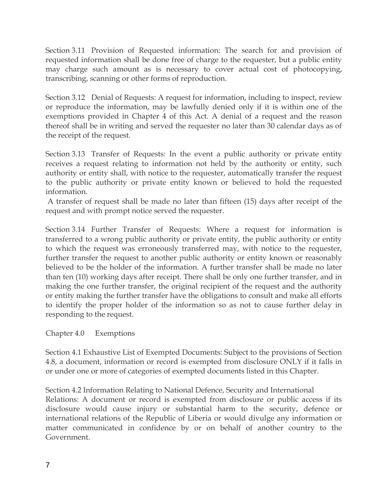Section 3.11 Provision of Requested information: The search for and provision of requested information shall be done free of charge to the requester, but a public entity may charge such amount as is necessary to cover actual cost of photocopying, transcribing, scanning or other forms of reproduction.

Section 3.12 Denial of Requests: A request for information, including to inspect, review or reproduce the information, may be lawfully denied only if it is within one of the exemptions provided in Chapter 4 of this Act. A denial of a request and the reason thereof shall be in writing and served the requester no later than 30 calendar days as of the receipt of the request.

Section 3.13 Transfer of Requests: In the event a public authority or private entity receives a request relating to information not held by the authority or entity, such authority or entity shall, with notice to the requester, automatically transfer the request to the public authority or private entity known or believed to hold the requested information.

A transfer of request shall be made no later than fifteen (15) days after receipt of the request and with prompt notice served the requester.

Section 3.14 Further Transfer of Requests: Where a request for information is transferred to a wrong public authority or private entity, the public authority or entity to which the request was erroneously transferred may, with notice to the requester, further transfer the request to another public authority or entity known or reasonably believed to be the holder of the information. A further transfer shall be made no later than ten (10) working days after receipt. There shall be only one further transfer, and in making the one further transfer, the original recipient of the request and the authority or entity making the further transfer have the obligations to consult and make all efforts to identify the proper holder of the information so as not to cause further delay in responding to the request.

## Chapter 4.0 Exemptions

Section 4.1 Exhaustive List of Exempted Documents: Subject to the provisions of Section 4.8, a document, information or record is exempted from disclosure ONLY if it falls in or under one or more of categories of exempted documents listed in this Chapter.

Section 4.2 Information Relating to National Defence, Security and International Relations: A document or record is exempted from disclosure or public access if its disclosure would cause injury or substantial harm to the security, defence or international relations of the Republic of Liberia or would divulge any information or matter communicated in confidence by or on behalf of another country to the Government.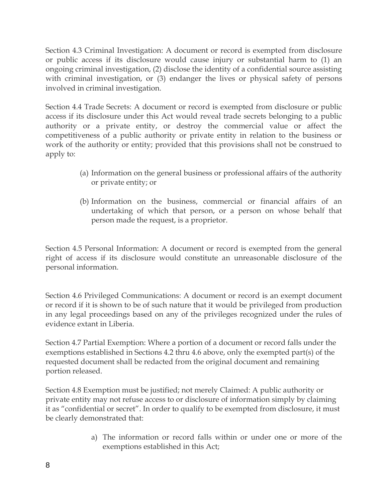Section 4.3 Criminal Investigation: A document or record is exempted from disclosure or public access if its disclosure would cause injury or substantial harm to (1) an ongoing criminal investigation, (2) disclose the identity of a confidential source assisting with criminal investigation, or (3) endanger the lives or physical safety of persons involved in criminal investigation.

Section 4.4 Trade Secrets: A document or record is exempted from disclosure or public access if its disclosure under this Act would reveal trade secrets belonging to a public authority or a private entity, or destroy the commercial value or affect the competitiveness of a public authority or private entity in relation to the business or work of the authority or entity; provided that this provisions shall not be construed to apply to:

- (a) Information on the general business or professional affairs of the authority or private entity; or
- (b) Information on the business, commercial or financial affairs of an undertaking of which that person, or a person on whose behalf that person made the request, is a proprietor.

Section 4.5 Personal Information: A document or record is exempted from the general right of access if its disclosure would constitute an unreasonable disclosure of the personal information.

Section 4.6 Privileged Communications: A document or record is an exempt document or record if it is shown to be of such nature that it would be privileged from production in any legal proceedings based on any of the privileges recognized under the rules of evidence extant in Liberia.

Section 4.7 Partial Exemption: Where a portion of a document or record falls under the exemptions established in Sections 4.2 thru 4.6 above, only the exempted part(s) of the requested document shall be redacted from the original document and remaining portion released.

Section 4.8 Exemption must be justified; not merely Claimed: A public authority or private entity may not refuse access to or disclosure of information simply by claiming it as "confidential or secret". In order to qualify to be exempted from disclosure, it must be clearly demonstrated that:

> a) The information or record falls within or under one or more of the exemptions established in this Act;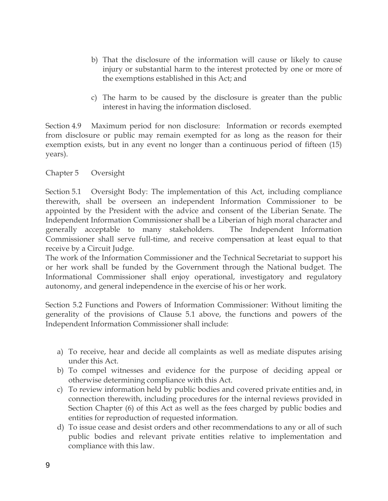- b) That the disclosure of the information will cause or likely to cause injury or substantial harm to the interest protected by one or more of the exemptions established in this Act; and
- c) The harm to be caused by the disclosure is greater than the public interest in having the information disclosed.

Section 4.9 Maximum period for non disclosure: Information or records exempted from disclosure or public may remain exempted for as long as the reason for their exemption exists, but in any event no longer than a continuous period of fifteen (15) years).

## Chapter 5 Oversight

Section 5.1 Oversight Body: The implementation of this Act, including compliance therewith, shall be overseen an independent Information Commissioner to be appointed by the President with the advice and consent of the Liberian Senate. The Independent Information Commissioner shall be a Liberian of high moral character and generally acceptable to many stakeholders. The Independent Information Commissioner shall serve full-time, and receive compensation at least equal to that receive by a Circuit Judge.

The work of the Information Commissioner and the Technical Secretariat to support his or her work shall be funded by the Government through the National budget. The Informational Commissioner shall enjoy operational, investigatory and regulatory autonomy, and general independence in the exercise of his or her work.

Section 5.2 Functions and Powers of Information Commissioner: Without limiting the generality of the provisions of Clause 5.1 above, the functions and powers of the Independent Information Commissioner shall include:

- a) To receive, hear and decide all complaints as well as mediate disputes arising under this Act.
- b) To compel witnesses and evidence for the purpose of deciding appeal or otherwise determining compliance with this Act.
- c) To review information held by public bodies and covered private entities and, in connection therewith, including procedures for the internal reviews provided in Section Chapter (6) of this Act as well as the fees charged by public bodies and entities for reproduction of requested information.
- d) To issue cease and desist orders and other recommendations to any or all of such public bodies and relevant private entities relative to implementation and compliance with this law.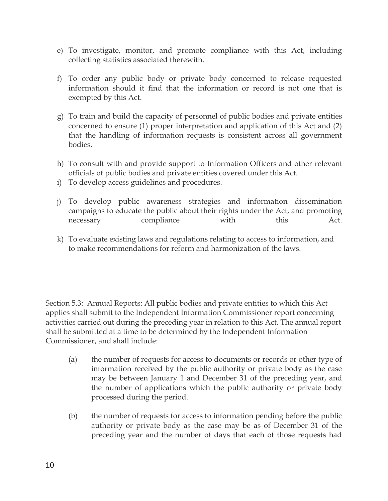- e) To investigate, monitor, and promote compliance with this Act, including collecting statistics associated therewith.
- f) To order any public body or private body concerned to release requested information should it find that the information or record is not one that is exempted by this Act.
- g) To train and build the capacity of personnel of public bodies and private entities concerned to ensure (1) proper interpretation and application of this Act and (2) that the handling of information requests is consistent across all government bodies.
- h) To consult with and provide support to Information Officers and other relevant officials of public bodies and private entities covered under this Act.
- i) To develop access guidelines and procedures.
- j) To develop public awareness strategies and information dissemination campaigns to educate the public about their rights under the Act, and promoting necessary compliance with this Act.
- k) To evaluate existing laws and regulations relating to access to information, and to make recommendations for reform and harmonization of the laws.

Section 5.3: Annual Reports: All public bodies and private entities to which this Act applies shall submit to the Independent Information Commissioner report concerning activities carried out during the preceding year in relation to this Act. The annual report shall be submitted at a time to be determined by the Independent Information Commissioner, and shall include:

- (a) the number of requests for access to documents or records or other type of information received by the public authority or private body as the case may be between January 1 and December 31 of the preceding year, and the number of applications which the public authority or private body processed during the period.
- (b) the number of requests for access to information pending before the public authority or private body as the case may be as of December 31 of the preceding year and the number of days that each of those requests had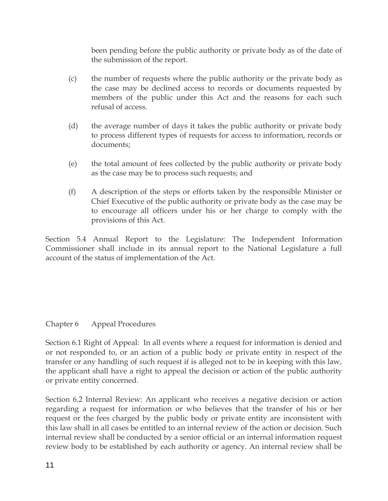been pending before the public authority or private body as of the date of the submission of the report.

- (c) the number of requests where the public authority or the private body as the case may be declined access to records or documents requested by members of the public under this Act and the reasons for each such refusal of access.
- (d) the average number of days it takes the public authority or private body to process different types of requests for access to information, records or documents;
- (e) the total amount of fees collected by the public authority or private body as the case may be to process such requests; and
- (f) A description of the steps or efforts taken by the responsible Minister or Chief Executive of the public authority or private body as the case may be to encourage all officers under his or her charge to comply with the provisions of this Act.

Section 5.4 Annual Report to the Legislature: The Independent Information Commissioner shall include in its annual report to the National Legislature a full account of the status of implementation of the Act.

## Chapter 6 Appeal Procedures

Section 6.1 Right of Appeal: In all events where a request for information is denied and or not responded to, or an action of a public body or private entity in respect of the transfer or any handling of such request if is alleged not to be in keeping with this law, the applicant shall have a right to appeal the decision or action of the public authority or private entity concerned.

Section 6.2 Internal Review: An applicant who receives a negative decision or action regarding a request for information or who believes that the transfer of his or her request or the fees charged by the public body or private entity are inconsistent with this law shall in all cases be entitled to an internal review of the action or decision. Such internal review shall be conducted by a senior official or an internal information request review body to be established by each authority or agency. An internal review shall be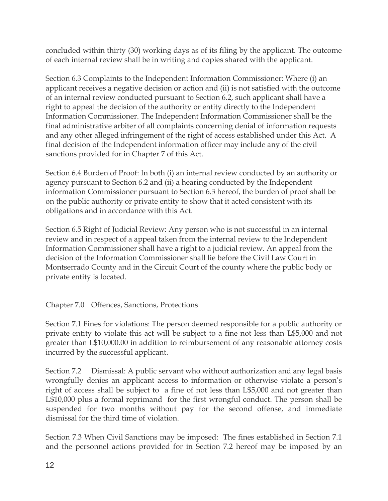concluded within thirty (30) working days as of its filing by the applicant. The outcome of each internal review shall be in writing and copies shared with the applicant.

Section 6.3 Complaints to the Independent Information Commissioner: Where (i) an applicant receives a negative decision or action and (ii) is not satisfied with the outcome of an internal review conducted pursuant to Section 6.2, such applicant shall have a right to appeal the decision of the authority or entity directly to the Independent Information Commissioner. The Independent Information Commissioner shall be the final administrative arbiter of all complaints concerning denial of information requests and any other alleged infringement of the right of access established under this Act. A final decision of the Independent information officer may include any of the civil sanctions provided for in Chapter 7 of this Act.

Section 6.4 Burden of Proof: In both (i) an internal review conducted by an authority or agency pursuant to Section 6.2 and (ii) a hearing conducted by the Independent information Commissioner pursuant to Section 6.3 hereof, the burden of proof shall be on the public authority or private entity to show that it acted consistent with its obligations and in accordance with this Act.

Section 6.5 Right of Judicial Review: Any person who is not successful in an internal review and in respect of a appeal taken from the internal review to the Independent Information Commissioner shall have a right to a judicial review. An appeal from the decision of the Information Commissioner shall lie before the Civil Law Court in Montserrado County and in the Circuit Court of the county where the public body or private entity is located.

Chapter 7.0 Offences, Sanctions, Protections

Section 7.1 Fines for violations: The person deemed responsible for a public authority or private entity to violate this act will be subject to a fine not less than L\$5,000 and not greater than L\$10,000.00 in addition to reimbursement of any reasonable attorney costs incurred by the successful applicant.

Section 7.2 Dismissal: A public servant who without authorization and any legal basis wrongfully denies an applicant access to information or otherwise violate a person's right of access shall be subject to a fine of not less than L\$5,000 and not greater than L\$10,000 plus a formal reprimand for the first wrongful conduct. The person shall be suspended for two months without pay for the second offense, and immediate dismissal for the third time of violation.

Section 7.3 When Civil Sanctions may be imposed: The fines established in Section 7.1 and the personnel actions provided for in Section 7.2 hereof may be imposed by an